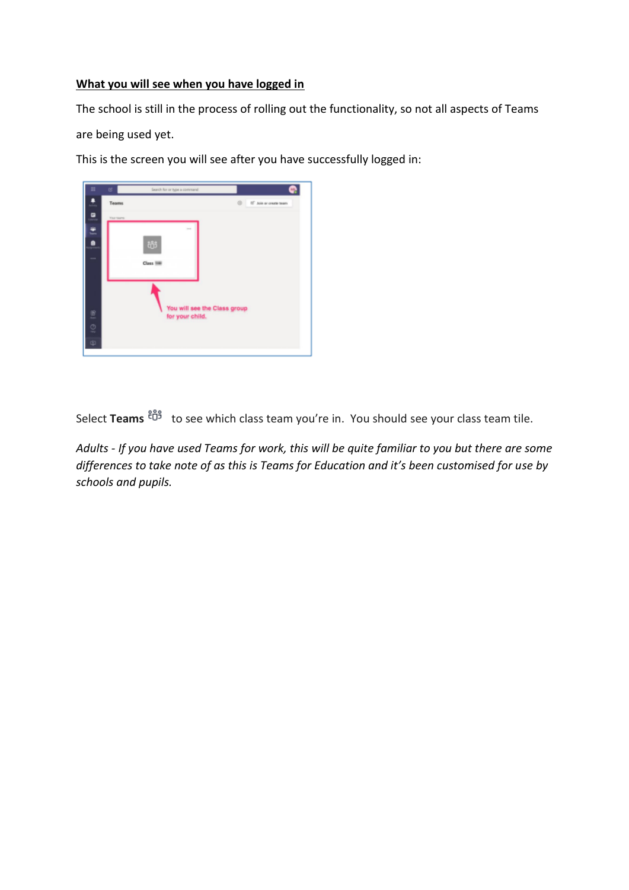## **What you will see when you have logged in**

The school is still in the process of rolling out the functionality, so not all aspects of Teams

are being used yet.

This is the screen you will see after you have successfully logged in:



Select Teams  $\frac{26}{3}$  to see which class team you're in. You should see your class team tile.

*Adults - If you have used Teams for work, this will be quite familiar to you but there are some differences to take note of as this is Teams for Education and it's been customised for use by schools and pupils.*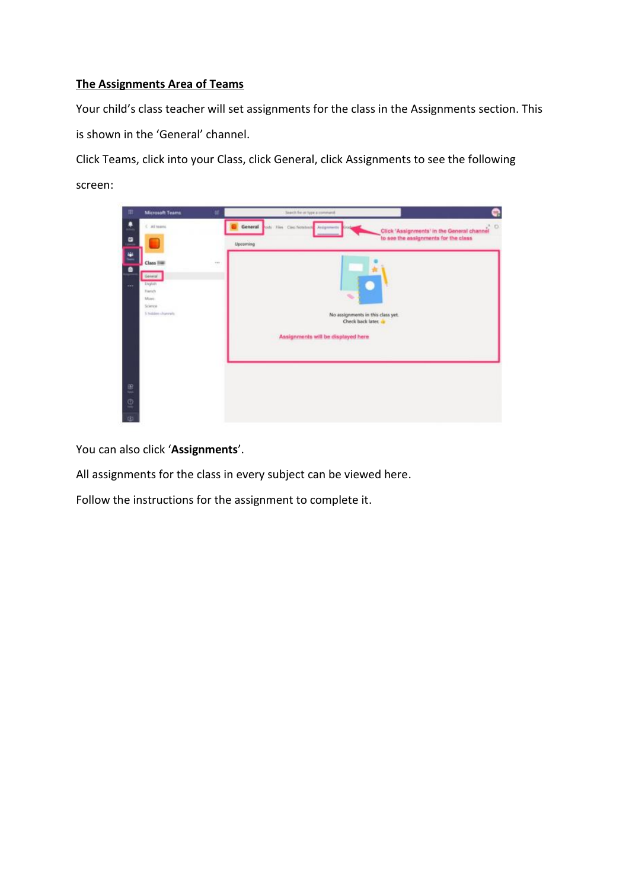# **The Assignments Area of Teams**

Your child's class teacher will set assignments for the class in the Assignments section. This is shown in the 'General' channel.

Click Teams, click into your Class, click General, click Assignments to see the following screen:



You can also click '**Assignments**'.

All assignments for the class in every subject can be viewed here.

Follow the instructions for the assignment to complete it.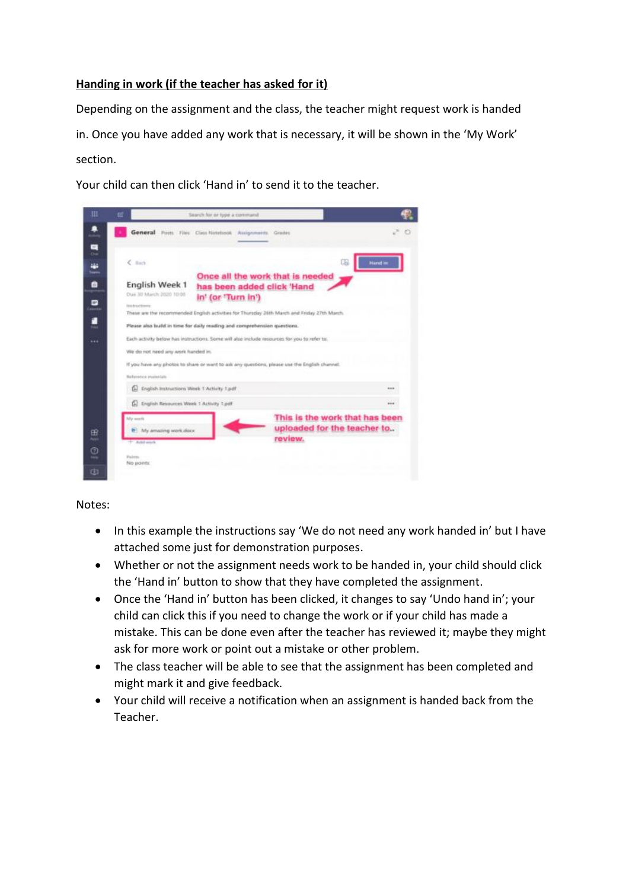## **Handing in work (if the teacher has asked for it)**

Depending on the assignment and the class, the teacher might request work is handed in. Once you have added any work that is necessary, it will be shown in the 'My Work' section.

Your child can then click 'Hand in' to send it to the teacher.

| ▦                   | 匠<br>Search for or type a command                                                                                                                                                                                                                                                                                                   |        |                |
|---------------------|-------------------------------------------------------------------------------------------------------------------------------------------------------------------------------------------------------------------------------------------------------------------------------------------------------------------------------------|--------|----------------|
| Ξ                   | General<br>Posts Files Class Notebook Ausignments.                                                                                                                                                                                                                                                                                  | Grades |                |
| CHH<br>m.<br>Teamin | $&$ finds                                                                                                                                                                                                                                                                                                                           | œ      | <b>Hand in</b> |
| 8<br>D              | Once all the work that is needed<br>English Week 1<br>has been added click 'Hand<br>Oue 30 March 2020 10:00<br>in' (or 'Turn in')<br><b>Instructions</b><br>These are the recommended English activities for Thursday 26th March and Friday 27th March.<br>Please also build in time for daily reading and comprehension questions. |        |                |
| ۰                   |                                                                                                                                                                                                                                                                                                                                     |        |                |
| 1.14                | Each activity below has instructions. Some will also include insources for you to refer to.<br>We do not need any work handed in.<br>If you have any photos to share or want to ask any questions, please use the English channel.                                                                                                  |        |                |
|                     | <b>Reference</b> insterlate                                                                                                                                                                                                                                                                                                         |        |                |
|                     | English Instructions Week T Activity T.pdf<br>61                                                                                                                                                                                                                                                                                    |        | <b>SEE</b>     |
| œ<br>Θ              | [A] English Resources Week 1 Activity 1 pdf<br>1.14<br>This is the work that has been<br><b>My work</b><br>uploaded for the teacher to<br>My amazing work.docx<br>review.<br>T. Ackil work                                                                                                                                          |        |                |
| Φ                   | <b>Fakers</b><br>No ponts                                                                                                                                                                                                                                                                                                           |        |                |

#### Notes:

- In this example the instructions say 'We do not need any work handed in' but I have attached some just for demonstration purposes.
- Whether or not the assignment needs work to be handed in, your child should click the 'Hand in' button to show that they have completed the assignment.
- Once the 'Hand in' button has been clicked, it changes to say 'Undo hand in'; your child can click this if you need to change the work or if your child has made a mistake. This can be done even after the teacher has reviewed it; maybe they might ask for more work or point out a mistake or other problem.
- The class teacher will be able to see that the assignment has been completed and might mark it and give feedback.
- Your child will receive a notification when an assignment is handed back from the Teacher.